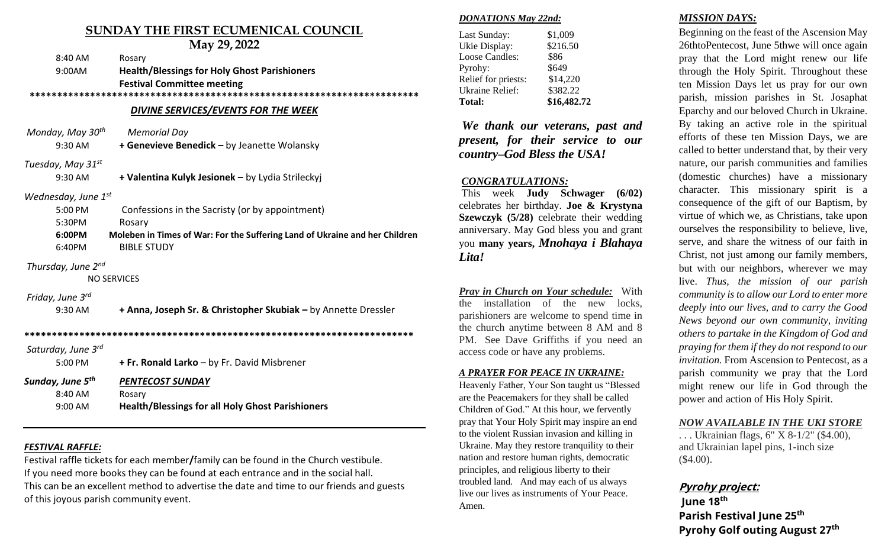# **SUNDAY THE FIRST ECUMENICAL COUNCIL**

|                              | May 29, 2022                                                                |
|------------------------------|-----------------------------------------------------------------------------|
| 8:40 AM                      | Rosary                                                                      |
| 9:00AM                       | <b>Health/Blessings for Holy Ghost Parishioners</b>                         |
|                              | <b>Festival Committee meeting</b>                                           |
|                              |                                                                             |
|                              | <b>DIVINE SERVICES/EVENTS FOR THE WEEK</b>                                  |
| Monday, May 30 <sup>th</sup> | <b>Memorial Day</b>                                                         |
| 9:30 AM                      | + Genevieve Benedick - by Jeanette Wolansky                                 |
| Tuesday, May 31st            |                                                                             |
| 9:30 AM                      | + Valentina Kulyk Jesionek - by Lydia Strileckyj                            |
| Wednesday, June $1^{st}$     |                                                                             |
| 5:00 PM                      | Confessions in the Sacristy (or by appointment)                             |
| 5:30PM                       | Rosary                                                                      |
| 6:00PM                       | Moleben in Times of War: For the Suffering Land of Ukraine and her Children |
| 6:40PM                       | <b>BIBLE STUDY</b>                                                          |
| Thursday, June 2nd           |                                                                             |
|                              | <b>NO SERVICES</b>                                                          |
| Friday, June 3rd             |                                                                             |
| 9:30 AM                      | + Anna, Joseph Sr. & Christopher Skubiak - by Annette Dressler              |
|                              |                                                                             |
| Saturday, June 3rd           |                                                                             |
| 5:00 PM                      | + Fr. Ronald Larko - by Fr. David Misbrener                                 |
| Sunday, June 5 <sup>th</sup> | <b>PENTECOST SUNDAY</b>                                                     |
| 8:40 AM                      | Rosary                                                                      |

# *FESTIVAL RAFFLE:*

Festival raffle tickets for each member**/**family can be found in the Church vestibule. If you need more books they can be found at each entrance and in the social hall. This can be an excellent method to advertise the date and time to our friends and guests of this joyous parish community event.

9:00 AM **Health/Blessings for all Holy Ghost Parishioners**

#### *DONATIONS May 22nd:*

| Last Sunday:           | \$1,009     |
|------------------------|-------------|
| Ukie Display:          | \$216.50    |
| <b>Loose Candles:</b>  | \$86        |
| Pyrohy:                | \$649       |
| Relief for priests:    | \$14,220    |
| <b>Ukraine Relief:</b> | \$382.22    |
| <b>Total:</b>          | \$16,482.72 |

*We thank our veterans, past and present, for their service to our country–God Bless the USA!*

## *CONGRATULATIONS:*

This week **Judy Schwager (6/02)** celebrates her birthday. **Joe & Krystyna Szewczyk (5/28)** celebrate their wedding anniversary. May God bless you and grant you **many years,** *Mnohaya i Blahaya Lita!*

*Pray in Church on Your schedule:* With the installation of the new locks, parishioners are welcome to spend time in the church anytime between 8 AM and 8 PM. See Dave Griffiths if you need an access code or have any problems.

#### *A PRAYER FOR PEACE IN UKRAINE:*

Heavenly Father, Your Son taught us "Blessed are the Peacemakers for they shall be called Children of God." At this hour, we fervently pray that Your Holy Spirit may inspire an end to the violent Russian invasion and killing in Ukraine. May they restore tranquility to their nation and restore human rights, democratic principles, and religious liberty to their troubled land. And may each of us always live our lives as instruments of Your Peace. Amen.

#### *MISSION DAYS:*

Beginning on the feast of the Ascension May 26thtoPentecost, June 5thwe will once again pray that the Lord might renew our life through the Holy Spirit. Throughout these ten Mission Days let us pray for our own parish, mission parishes in St. Josaphat Eparchy and our beloved Church in Ukraine. By taking an active role in the spiritual efforts of these ten Mission Days, we are called to better understand that, by their very nature, our parish communities and families (domestic churches) have a missionary character. This missionary spirit is a consequence of the gift of our Baptism, by virtue of which we, as Christians, take upon ourselves the responsibility to believe, live, serve, and share the witness of our faith in Christ, not just among our family members, but with our neighbors, wherever we may live. *Thus, the mission of our parish community is to allow our Lord to enter more deeply into our lives, and to carry the Good News beyond our own community, inviting others to partake in the Kingdom of God and praying for them if they do not respond to our invitation.* From Ascension to Pentecost, as a parish community we pray that the Lord might renew our life in God through the power and action of His Holy Spirit.

#### *NOW AVAILABLE IN THE UKI STORE*

. . . Ukrainian flags, 6" X 8-1/2" (\$4.00), and Ukrainian lapel pins, 1-inch size (\$4.00).

# **Pyrohy project:**

lune 18<sup>th</sup> **Parish Festival June 25th** Pyrohy Golf outing August 27<sup>th</sup>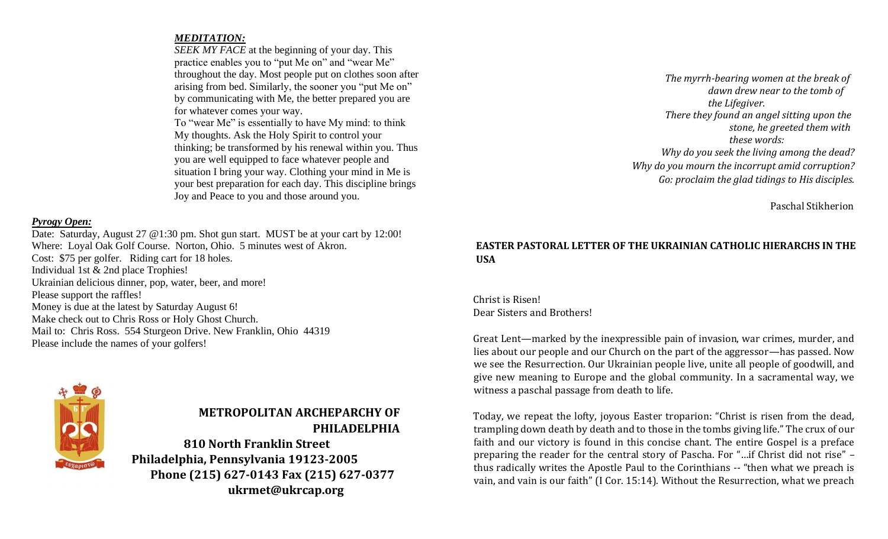## *MEDITATION:*

*SEEK MY FACE* at the beginning of your day. This practice enables you to "put Me on" and "wear Me" throughout the day. Most people put on clothes soon after arising from bed. Similarly, the sooner you "put Me on" by communicating with Me, the better prepared you are for whatever comes your way.

To "wear Me" is essentially to have My mind: to think My thoughts. Ask the Holy Spirit to control your thinking; be transformed by his renewal within you. Thus you are well equipped to face whatever people and situation I bring your way. Clothing your mind in Me is your best preparation for each day. This discipline brings Joy and Peace to you and those around you.

## *Pyrogy Open:*

Date: Saturday, August 27 @1:30 pm. Shot gun start. MUST be at your cart by 12:00! Where: Loyal Oak Golf Course. Norton, Ohio. 5 minutes west of Akron. Cost: \$75 per golfer. Riding cart for 18 holes. Individual 1st & 2nd place Trophies! Ukrainian delicious dinner, pop, water, beer, and more! Please support the raffles! Money is due at the latest by Saturday August 6! Make check out to Chris Ross or Holy Ghost Church. Mail to: Chris Ross. 554 Sturgeon Drive. New Franklin, Ohio 44319 Please include the names of your golfers!



# **METROPOLITAN ARCHEPARCHY OF PHILADELPHIA**

**810 North Franklin Street Philadelphia, Pennsylvania 19123-2005 Phone (215) 627-0143 Fax (215) 627-0377 ukrmet@ukrcap.org** 

*The myrrh-bearing women at the break of dawn drew near to the tomb of the Lifegiver. There they found an angel sitting upon the stone, he greeted them with these words: Why do you seek the living among the dead? Why do you mourn the incorrupt amid corruption? Go: proclaim the glad tidings to His disciples.* 

Paschal Stikherion

# **EASTER PASTORAL LETTER OF THE UKRAINIAN CATHOLIC HIERARCHS IN THE USA**

Christ is Risen! Dear Sisters and Brothers!

Great Lent—marked by the inexpressible pain of invasion, war crimes, murder, and lies about our people and our Church on the part of the aggressor—has passed. Now we see the Resurrection. Our Ukrainian people live, unite all people of goodwill, and give new meaning to Europe and the global community. In a sacramental way, we witness a paschal passage from death to life.

Today, we repeat the lofty, joyous Easter troparion: "Christ is risen from the dead, trampling down death by death and to those in the tombs giving life." The crux of our faith and our victory is found in this concise chant. The entire Gospel is a preface preparing the reader for the central story of Pascha. For "…if Christ did not rise" – thus radically writes the Apostle Paul to the Corinthians -- "then what we preach is vain, and vain is our faith" (I Cor. 15:14). Without the Resurrection, what we preach